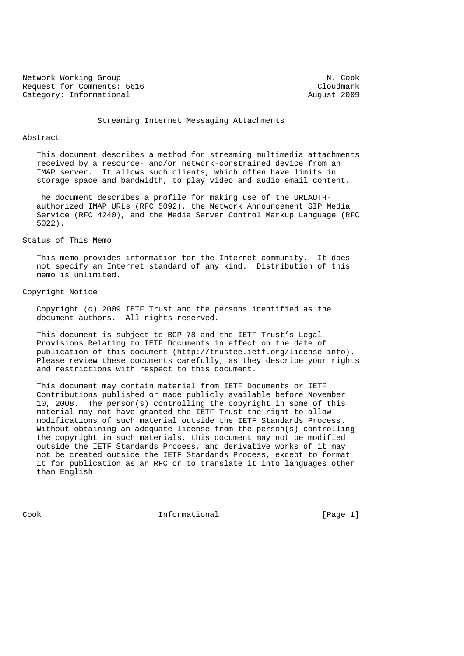Network Working Group Network Working Group Network Working Group Request for Comments: 5616 Cloudmark Category: Informational Cloudmark Category: Informational Category: Informational

Streaming Internet Messaging Attachments

#### Abstract

 This document describes a method for streaming multimedia attachments received by a resource- and/or network-constrained device from an IMAP server. It allows such clients, which often have limits in storage space and bandwidth, to play video and audio email content.

 The document describes a profile for making use of the URLAUTH authorized IMAP URLs (RFC 5092), the Network Announcement SIP Media Service (RFC 4240), and the Media Server Control Markup Language (RFC 5022).

# Status of This Memo

 This memo provides information for the Internet community. It does not specify an Internet standard of any kind. Distribution of this memo is unlimited.

# Copyright Notice

 Copyright (c) 2009 IETF Trust and the persons identified as the document authors. All rights reserved.

 This document is subject to BCP 78 and the IETF Trust's Legal Provisions Relating to IETF Documents in effect on the date of publication of this document (http://trustee.ietf.org/license-info). Please review these documents carefully, as they describe your rights and restrictions with respect to this document.

 This document may contain material from IETF Documents or IETF Contributions published or made publicly available before November 10, 2008. The person(s) controlling the copyright in some of this material may not have granted the IETF Trust the right to allow modifications of such material outside the IETF Standards Process. Without obtaining an adequate license from the person(s) controlling the copyright in such materials, this document may not be modified outside the IETF Standards Process, and derivative works of it may not be created outside the IETF Standards Process, except to format it for publication as an RFC or to translate it into languages other than English.

Cook **Informational** [Page 1]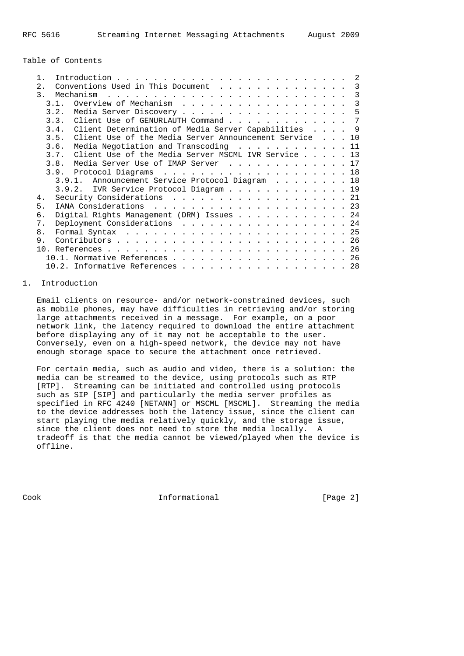Table of Contents

|                                                                                                                                                                                                                                                             |  |  | -2            |  |  |  |  |
|-------------------------------------------------------------------------------------------------------------------------------------------------------------------------------------------------------------------------------------------------------------|--|--|---------------|--|--|--|--|
| Conventions Used in This Document<br>2.                                                                                                                                                                                                                     |  |  |               |  |  |  |  |
| $\mathcal{R}$<br>Mechanism<br>. The contract of the contract of the contract of the contract of the contract of the contract of the contract of the contract of the contract of the contract of the contract of the contract of the contract of the contrac |  |  | $\mathcal{R}$ |  |  |  |  |
| Overview of Mechanism<br>3 1                                                                                                                                                                                                                                |  |  | 3             |  |  |  |  |
| 3.2.                                                                                                                                                                                                                                                        |  |  | 5             |  |  |  |  |
| 3.3. Client Use of GENURLAUTH Command                                                                                                                                                                                                                       |  |  | 7             |  |  |  |  |
| 3.4. Client Determination of Media Server Capabilities 9                                                                                                                                                                                                    |  |  |               |  |  |  |  |
| 3.5. Client Use of the Media Server Announcement Service 10                                                                                                                                                                                                 |  |  |               |  |  |  |  |
| Media Negotiation and Transcoding 11<br>3.6.                                                                                                                                                                                                                |  |  |               |  |  |  |  |
| Client Use of the Media Server MSCML IVR Service 13<br>3.7.                                                                                                                                                                                                 |  |  |               |  |  |  |  |
| Media Server Use of IMAP Server 17<br>3.8.                                                                                                                                                                                                                  |  |  |               |  |  |  |  |
|                                                                                                                                                                                                                                                             |  |  |               |  |  |  |  |
| 3.9.1. Announcement Service Protocol Diagram 18                                                                                                                                                                                                             |  |  |               |  |  |  |  |
| 3.9.2. IVR Service Protocol Diagram 19                                                                                                                                                                                                                      |  |  |               |  |  |  |  |
| Security Considerations 21<br>4.                                                                                                                                                                                                                            |  |  |               |  |  |  |  |
| 5.                                                                                                                                                                                                                                                          |  |  |               |  |  |  |  |
| Digital Rights Management (DRM) Issues 24<br>б.                                                                                                                                                                                                             |  |  |               |  |  |  |  |
| Deployment Considerations 24<br>$7$ .                                                                                                                                                                                                                       |  |  |               |  |  |  |  |
| 8.                                                                                                                                                                                                                                                          |  |  |               |  |  |  |  |
| 9                                                                                                                                                                                                                                                           |  |  |               |  |  |  |  |
|                                                                                                                                                                                                                                                             |  |  |               |  |  |  |  |
|                                                                                                                                                                                                                                                             |  |  |               |  |  |  |  |
| 10.1. Normative References 26                                                                                                                                                                                                                               |  |  |               |  |  |  |  |
|                                                                                                                                                                                                                                                             |  |  | 28            |  |  |  |  |

# 1. Introduction

 Email clients on resource- and/or network-constrained devices, such as mobile phones, may have difficulties in retrieving and/or storing large attachments received in a message. For example, on a poor network link, the latency required to download the entire attachment before displaying any of it may not be acceptable to the user. Conversely, even on a high-speed network, the device may not have enough storage space to secure the attachment once retrieved.

 For certain media, such as audio and video, there is a solution: the media can be streamed to the device, using protocols such as RTP [RTP]. Streaming can be initiated and controlled using protocols such as SIP [SIP] and particularly the media server profiles as specified in RFC 4240 [NETANN] or MSCML [MSCML]. Streaming the media to the device addresses both the latency issue, since the client can start playing the media relatively quickly, and the storage issue, since the client does not need to store the media locally. A tradeoff is that the media cannot be viewed/played when the device is offline.

Cook Informational [Page 2]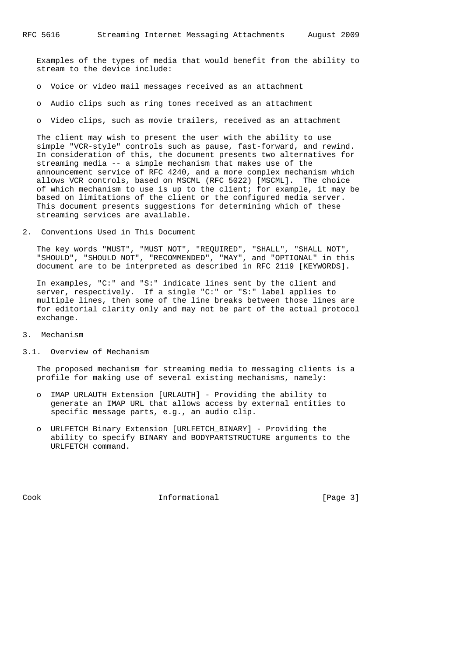Examples of the types of media that would benefit from the ability to stream to the device include:

- o Voice or video mail messages received as an attachment
- o Audio clips such as ring tones received as an attachment
- o Video clips, such as movie trailers, received as an attachment

 The client may wish to present the user with the ability to use simple "VCR-style" controls such as pause, fast-forward, and rewind. In consideration of this, the document presents two alternatives for streaming media -- a simple mechanism that makes use of the announcement service of RFC 4240, and a more complex mechanism which allows VCR controls, based on MSCML (RFC 5022) [MSCML]. The choice of which mechanism to use is up to the client; for example, it may be based on limitations of the client or the configured media server. This document presents suggestions for determining which of these streaming services are available.

2. Conventions Used in This Document

 The key words "MUST", "MUST NOT", "REQUIRED", "SHALL", "SHALL NOT", "SHOULD", "SHOULD NOT", "RECOMMENDED", "MAY", and "OPTIONAL" in this document are to be interpreted as described in RFC 2119 [KEYWORDS].

 In examples, "C:" and "S:" indicate lines sent by the client and server, respectively. If a single "C:" or "S:" label applies to multiple lines, then some of the line breaks between those lines are for editorial clarity only and may not be part of the actual protocol exchange.

3. Mechanism

### 3.1. Overview of Mechanism

 The proposed mechanism for streaming media to messaging clients is a profile for making use of several existing mechanisms, namely:

- o IMAP URLAUTH Extension [URLAUTH] Providing the ability to generate an IMAP URL that allows access by external entities to specific message parts, e.g., an audio clip.
- o URLFETCH Binary Extension [URLFETCH\_BINARY] Providing the ability to specify BINARY and BODYPARTSTRUCTURE arguments to the URLFETCH command.

Cook Informational [Page 3]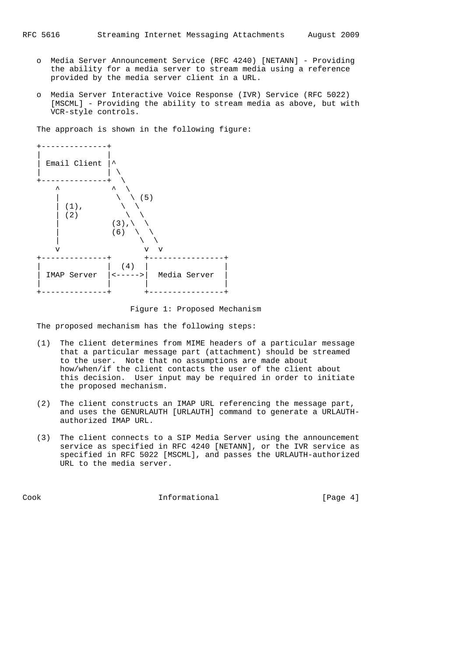- o Media Server Announcement Service (RFC 4240) [NETANN] Providing the ability for a media server to stream media using a reference provided by the media server client in a URL.
- o Media Server Interactive Voice Response (IVR) Service (RFC 5022) [MSCML] - Providing the ability to stream media as above, but with VCR-style controls.

The approach is shown in the following figure:



Figure 1: Proposed Mechanism

The proposed mechanism has the following steps:

- (1) The client determines from MIME headers of a particular message that a particular message part (attachment) should be streamed to the user. Note that no assumptions are made about how/when/if the client contacts the user of the client about this decision. User input may be required in order to initiate the proposed mechanism.
- (2) The client constructs an IMAP URL referencing the message part, and uses the GENURLAUTH [URLAUTH] command to generate a URLAUTH authorized IMAP URL.
- (3) The client connects to a SIP Media Server using the announcement service as specified in RFC 4240 [NETANN], or the IVR service as specified in RFC 5022 [MSCML], and passes the URLAUTH-authorized URL to the media server.

Cook Informational [Page 4]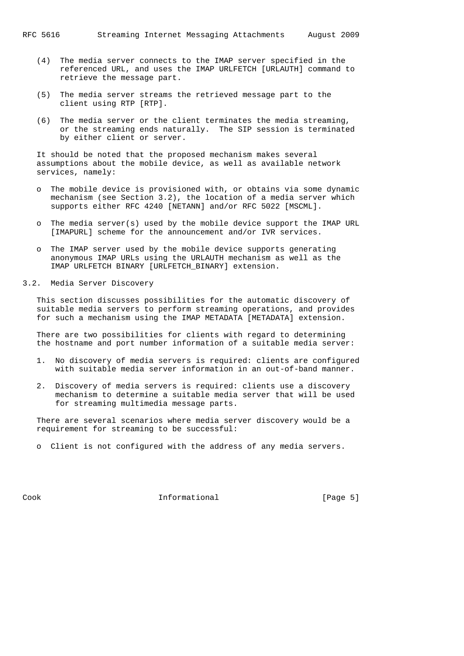- (4) The media server connects to the IMAP server specified in the referenced URL, and uses the IMAP URLFETCH [URLAUTH] command to retrieve the message part.
- (5) The media server streams the retrieved message part to the client using RTP [RTP].
- (6) The media server or the client terminates the media streaming, or the streaming ends naturally. The SIP session is terminated by either client or server.

 It should be noted that the proposed mechanism makes several assumptions about the mobile device, as well as available network services, namely:

- o The mobile device is provisioned with, or obtains via some dynamic mechanism (see Section 3.2), the location of a media server which supports either RFC 4240 [NETANN] and/or RFC 5022 [MSCML].
- o The media server(s) used by the mobile device support the IMAP URL [IMAPURL] scheme for the announcement and/or IVR services.
- o The IMAP server used by the mobile device supports generating anonymous IMAP URLs using the URLAUTH mechanism as well as the IMAP URLFETCH BINARY [URLFETCH\_BINARY] extension.
- 3.2. Media Server Discovery

 This section discusses possibilities for the automatic discovery of suitable media servers to perform streaming operations, and provides for such a mechanism using the IMAP METADATA [METADATA] extension.

 There are two possibilities for clients with regard to determining the hostname and port number information of a suitable media server:

- 1. No discovery of media servers is required: clients are configured with suitable media server information in an out-of-band manner.
- 2. Discovery of media servers is required: clients use a discovery mechanism to determine a suitable media server that will be used for streaming multimedia message parts.

 There are several scenarios where media server discovery would be a requirement for streaming to be successful:

o Client is not configured with the address of any media servers.

Cook Informational [Page 5]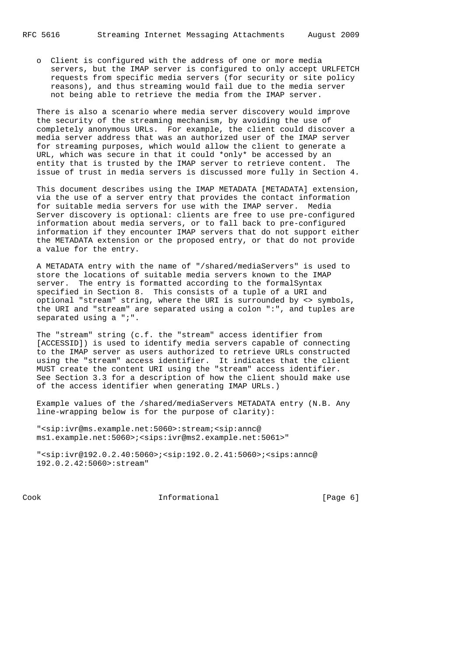o Client is configured with the address of one or more media servers, but the IMAP server is configured to only accept URLFETCH requests from specific media servers (for security or site policy reasons), and thus streaming would fail due to the media server not being able to retrieve the media from the IMAP server.

 There is also a scenario where media server discovery would improve the security of the streaming mechanism, by avoiding the use of completely anonymous URLs. For example, the client could discover a media server address that was an authorized user of the IMAP server for streaming purposes, which would allow the client to generate a URL, which was secure in that it could \*only\* be accessed by an entity that is trusted by the IMAP server to retrieve content. The issue of trust in media servers is discussed more fully in Section 4.

 This document describes using the IMAP METADATA [METADATA] extension, via the use of a server entry that provides the contact information for suitable media servers for use with the IMAP server. Media Server discovery is optional: clients are free to use pre-configured information about media servers, or to fall back to pre-configured information if they encounter IMAP servers that do not support either the METADATA extension or the proposed entry, or that do not provide a value for the entry.

 A METADATA entry with the name of "/shared/mediaServers" is used to store the locations of suitable media servers known to the IMAP server. The entry is formatted according to the formalSyntax specified in Section 8. This consists of a tuple of a URI and optional "stream" string, where the URI is surrounded by <> symbols, the URI and "stream" are separated using a colon ":", and tuples are separated using a ";".

 The "stream" string (c.f. the "stream" access identifier from [ACCESSID]) is used to identify media servers capable of connecting to the IMAP server as users authorized to retrieve URLs constructed using the "stream" access identifier. It indicates that the client MUST create the content URI using the "stream" access identifier. See Section 3.3 for a description of how the client should make use of the access identifier when generating IMAP URLs.)

 Example values of the /shared/mediaServers METADATA entry (N.B. Any line-wrapping below is for the purpose of clarity):

 "<sip:ivr@ms.example.net:5060>:stream;<sip:annc@ ms1.example.net:5060>;<sips:ivr@ms2.example.net:5061>"

 "<sip:ivr@192.0.2.40:5060>;<sip:192.0.2.41:5060>;<sips:annc@ 192.0.2.42:5060>:stream"

Cook Informational [Page 6]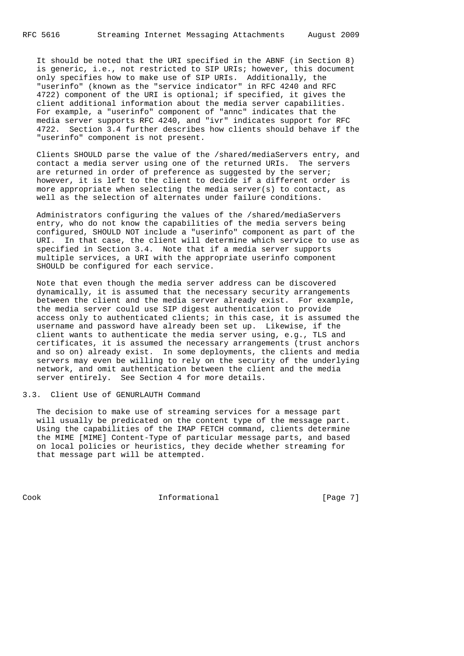It should be noted that the URI specified in the ABNF (in Section 8) is generic, i.e., not restricted to SIP URIs; however, this document only specifies how to make use of SIP URIs. Additionally, the "userinfo" (known as the "service indicator" in RFC 4240 and RFC 4722) component of the URI is optional; if specified, it gives the client additional information about the media server capabilities. For example, a "userinfo" component of "annc" indicates that the media server supports RFC 4240, and "ivr" indicates support for RFC 4722. Section 3.4 further describes how clients should behave if the "userinfo" component is not present.

 Clients SHOULD parse the value of the /shared/mediaServers entry, and contact a media server using one of the returned URIs. The servers are returned in order of preference as suggested by the server; however, it is left to the client to decide if a different order is more appropriate when selecting the media server(s) to contact, as well as the selection of alternates under failure conditions.

 Administrators configuring the values of the /shared/mediaServers entry, who do not know the capabilities of the media servers being configured, SHOULD NOT include a "userinfo" component as part of the URI. In that case, the client will determine which service to use as specified in Section 3.4. Note that if a media server supports multiple services, a URI with the appropriate userinfo component SHOULD be configured for each service.

 Note that even though the media server address can be discovered dynamically, it is assumed that the necessary security arrangements between the client and the media server already exist. For example, the media server could use SIP digest authentication to provide access only to authenticated clients; in this case, it is assumed the username and password have already been set up. Likewise, if the client wants to authenticate the media server using, e.g., TLS and certificates, it is assumed the necessary arrangements (trust anchors and so on) already exist. In some deployments, the clients and media servers may even be willing to rely on the security of the underlying network, and omit authentication between the client and the media server entirely. See Section 4 for more details.

3.3. Client Use of GENURLAUTH Command

 The decision to make use of streaming services for a message part will usually be predicated on the content type of the message part. Using the capabilities of the IMAP FETCH command, clients determine the MIME [MIME] Content-Type of particular message parts, and based on local policies or heuristics, they decide whether streaming for that message part will be attempted.

Cook Informational [Page 7]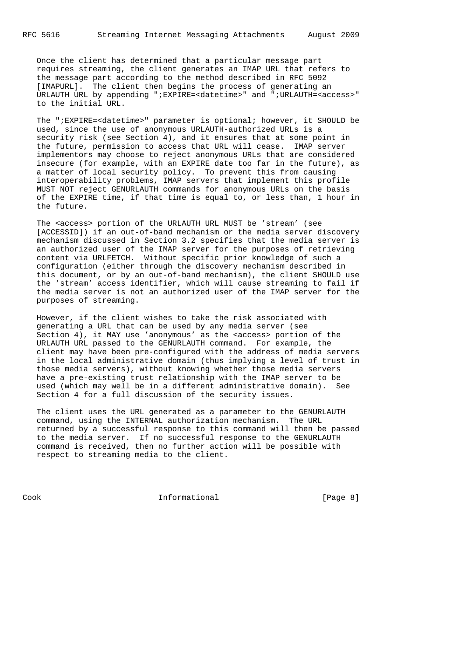Once the client has determined that a particular message part requires streaming, the client generates an IMAP URL that refers to the message part according to the method described in RFC 5092 [IMAPURL]. The client then begins the process of generating an URLAUTH URL by appending ";EXPIRE=<datetime>" and ";URLAUTH=<access>" to the initial URL.

 The ";EXPIRE=<datetime>" parameter is optional; however, it SHOULD be used, since the use of anonymous URLAUTH-authorized URLs is a security risk (see Section 4), and it ensures that at some point in the future, permission to access that URL will cease. IMAP server implementors may choose to reject anonymous URLs that are considered insecure (for example, with an EXPIRE date too far in the future), as a matter of local security policy. To prevent this from causing interoperability problems, IMAP servers that implement this profile MUST NOT reject GENURLAUTH commands for anonymous URLs on the basis of the EXPIRE time, if that time is equal to, or less than, 1 hour in the future.

 The <access> portion of the URLAUTH URL MUST be 'stream' (see [ACCESSID]) if an out-of-band mechanism or the media server discovery mechanism discussed in Section 3.2 specifies that the media server is an authorized user of the IMAP server for the purposes of retrieving content via URLFETCH. Without specific prior knowledge of such a configuration (either through the discovery mechanism described in this document, or by an out-of-band mechanism), the client SHOULD use the 'stream' access identifier, which will cause streaming to fail if the media server is not an authorized user of the IMAP server for the purposes of streaming.

 However, if the client wishes to take the risk associated with generating a URL that can be used by any media server (see Section 4), it MAY use 'anonymous' as the <access> portion of the URLAUTH URL passed to the GENURLAUTH command. For example, the client may have been pre-configured with the address of media servers in the local administrative domain (thus implying a level of trust in those media servers), without knowing whether those media servers have a pre-existing trust relationship with the IMAP server to be used (which may well be in a different administrative domain). See Section 4 for a full discussion of the security issues.

 The client uses the URL generated as a parameter to the GENURLAUTH command, using the INTERNAL authorization mechanism. The URL returned by a successful response to this command will then be passed to the media server. If no successful response to the GENURLAUTH command is received, then no further action will be possible with respect to streaming media to the client.

Cook Informational [Page 8]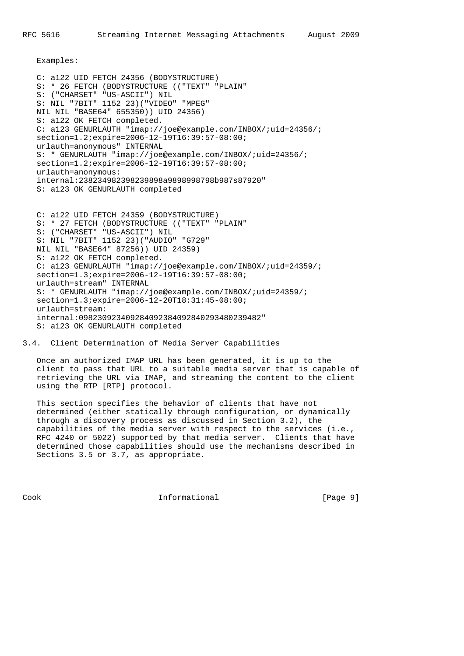Examples:

 C: a122 UID FETCH 24356 (BODYSTRUCTURE) S: \* 26 FETCH (BODYSTRUCTURE (("TEXT" "PLAIN" S: ("CHARSET" "US-ASCII") NIL S: NIL "7BIT" 1152 23)("VIDEO" "MPEG" NIL NIL "BASE64" 655350)) UID 24356) S: a122 OK FETCH completed. C: a123 GENURLAUTH "imap://joe@example.com/INBOX/;uid=24356/; section=1.2;expire=2006-12-19T16:39:57-08:00; urlauth=anonymous" INTERNAL S: \* GENURLAUTH "imap://joe@example.com/INBOX/;uid=24356/; section=1.2;expire=2006-12-19T16:39:57-08:00; urlauth=anonymous: internal:238234982398239898a9898998798b987s87920" S: a123 OK GENURLAUTH completed

 C: a122 UID FETCH 24359 (BODYSTRUCTURE) S: \* 27 FETCH (BODYSTRUCTURE (("TEXT" "PLAIN" S: ("CHARSET" "US-ASCII") NIL S: NIL "7BIT" 1152 23)("AUDIO" "G729" NIL NIL "BASE64" 87256)) UID 24359) S: a122 OK FETCH completed. C: a123 GENURLAUTH "imap://joe@example.com/INBOX/;uid=24359/; section=1.3;expire=2006-12-19T16:39:57-08:00; urlauth=stream" INTERNAL S: \* GENURLAUTH "imap://joe@example.com/INBOX/;uid=24359/; section=1.3;expire=2006-12-20T18:31:45-08:00; urlauth=stream: internal:098230923409284092384092840293480239482" S: a123 OK GENURLAUTH completed

3.4. Client Determination of Media Server Capabilities

 Once an authorized IMAP URL has been generated, it is up to the client to pass that URL to a suitable media server that is capable of retrieving the URL via IMAP, and streaming the content to the client using the RTP [RTP] protocol.

 This section specifies the behavior of clients that have not determined (either statically through configuration, or dynamically through a discovery process as discussed in Section 3.2), the capabilities of the media server with respect to the services (i.e., RFC 4240 or 5022) supported by that media server. Clients that have determined those capabilities should use the mechanisms described in Sections 3.5 or 3.7, as appropriate.

Cook Informational [Page 9]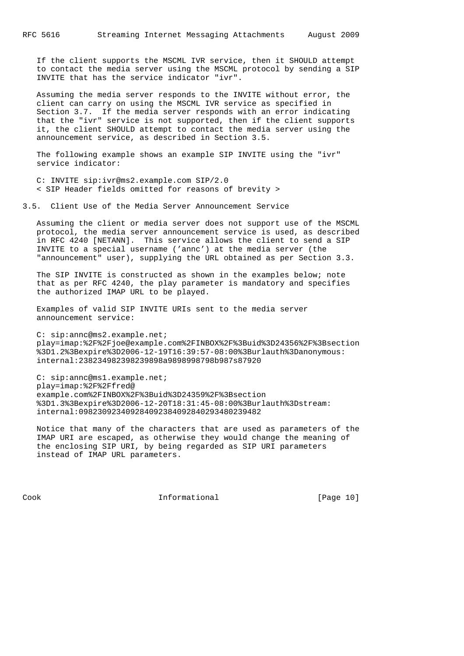If the client supports the MSCML IVR service, then it SHOULD attempt to contact the media server using the MSCML protocol by sending a SIP INVITE that has the service indicator "ivr".

 Assuming the media server responds to the INVITE without error, the client can carry on using the MSCML IVR service as specified in Section 3.7. If the media server responds with an error indicating that the "ivr" service is not supported, then if the client supports it, the client SHOULD attempt to contact the media server using the announcement service, as described in Section 3.5.

 The following example shows an example SIP INVITE using the "ivr" service indicator:

 C: INVITE sip:ivr@ms2.example.com SIP/2.0 < SIP Header fields omitted for reasons of brevity >

3.5. Client Use of the Media Server Announcement Service

 Assuming the client or media server does not support use of the MSCML protocol, the media server announcement service is used, as described in RFC 4240 [NETANN]. This service allows the client to send a SIP INVITE to a special username ('annc') at the media server (the "announcement" user), supplying the URL obtained as per Section 3.3.

 The SIP INVITE is constructed as shown in the examples below; note that as per RFC 4240, the play parameter is mandatory and specifies the authorized IMAP URL to be played.

 Examples of valid SIP INVITE URIs sent to the media server announcement service:

 C: sip:annc@ms2.example.net; play=imap:%2F%2Fjoe@example.com%2FINBOX%2F%3Buid%3D24356%2F%3Bsection %3D1.2%3Bexpire%3D2006-12-19T16:39:57-08:00%3Burlauth%3Danonymous: internal:238234982398239898a9898998798b987s87920

 C: sip:annc@ms1.example.net; play=imap:%2F%2Ffred@ example.com%2FINBOX%2F%3Buid%3D24359%2F%3Bsection %3D1.3%3Bexpire%3D2006-12-20T18:31:45-08:00%3Burlauth%3Dstream: internal:098230923409284092384092840293480239482

 Notice that many of the characters that are used as parameters of the IMAP URI are escaped, as otherwise they would change the meaning of the enclosing SIP URI, by being regarded as SIP URI parameters instead of IMAP URL parameters.

Cook Informational [Page 10]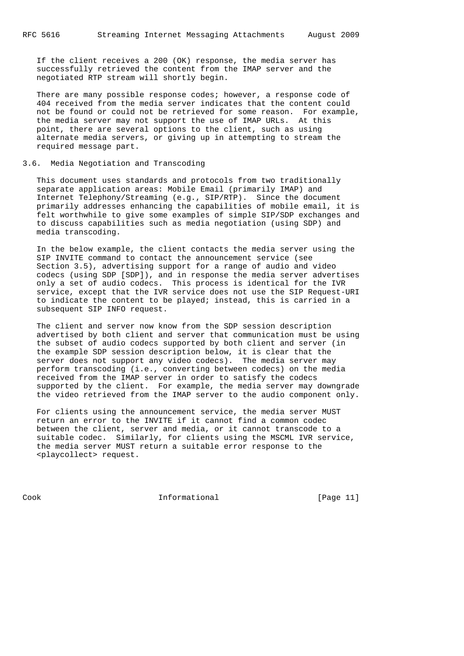If the client receives a 200 (OK) response, the media server has successfully retrieved the content from the IMAP server and the negotiated RTP stream will shortly begin.

There are many possible response codes; however, a response code of 404 received from the media server indicates that the content could not be found or could not be retrieved for some reason. For example, the media server may not support the use of IMAP URLs. At this point, there are several options to the client, such as using alternate media servers, or giving up in attempting to stream the required message part.

# 3.6. Media Negotiation and Transcoding

 This document uses standards and protocols from two traditionally separate application areas: Mobile Email (primarily IMAP) and Internet Telephony/Streaming (e.g., SIP/RTP). Since the document primarily addresses enhancing the capabilities of mobile email, it is felt worthwhile to give some examples of simple SIP/SDP exchanges and to discuss capabilities such as media negotiation (using SDP) and media transcoding.

 In the below example, the client contacts the media server using the SIP INVITE command to contact the announcement service (see Section 3.5), advertising support for a range of audio and video codecs (using SDP [SDP]), and in response the media server advertises only a set of audio codecs. This process is identical for the IVR service, except that the IVR service does not use the SIP Request-URI to indicate the content to be played; instead, this is carried in a subsequent SIP INFO request.

 The client and server now know from the SDP session description advertised by both client and server that communication must be using the subset of audio codecs supported by both client and server (in the example SDP session description below, it is clear that the server does not support any video codecs). The media server may perform transcoding (i.e., converting between codecs) on the media received from the IMAP server in order to satisfy the codecs supported by the client. For example, the media server may downgrade the video retrieved from the IMAP server to the audio component only.

 For clients using the announcement service, the media server MUST return an error to the INVITE if it cannot find a common codec between the client, server and media, or it cannot transcode to a suitable codec. Similarly, for clients using the MSCML IVR service, the media server MUST return a suitable error response to the <playcollect> request.

Cook Informational [Page 11]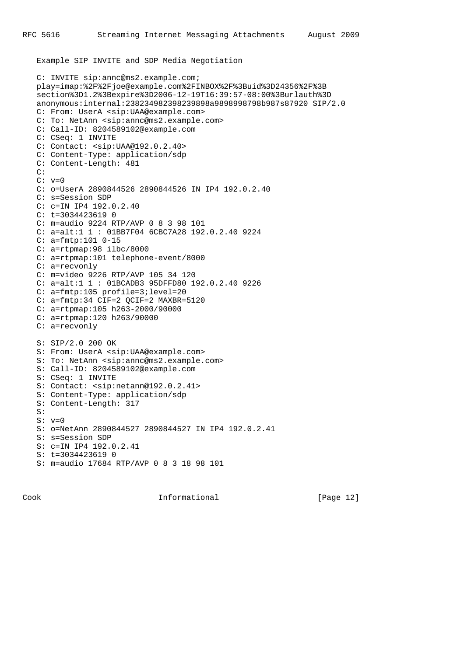Example SIP INVITE and SDP Media Negotiation

```
 C: INVITE sip:annc@ms2.example.com;
 play=imap:%2F%2Fjoe@example.com%2FINBOX%2F%3Buid%3D24356%2F%3B
 section%3D1.2%3Bexpire%3D2006-12-19T16:39:57-08:00%3Burlauth%3D
 anonymous:internal:238234982398239898a9898998798b987s87920 SIP/2.0
 C: From: UserA <sip:UAA@example.com>
 C: To: NetAnn <sip:annc@ms2.example.com>
 C: Call-ID: 8204589102@example.com
 C: CSeq: 1 INVITE
 C: Contact: <sip:UAA@192.0.2.40>
 C: Content-Type: application/sdp
 C: Content-Length: 481
 C:
C: v=0 C: o=UserA 2890844526 2890844526 IN IP4 192.0.2.40
 C: s=Session SDP
 C: c=IN IP4 192.0.2.40
 C: t=3034423619 0
 C: m=audio 9224 RTP/AVP 0 8 3 98 101
 C: a=alt:1 1 : 01BB7F04 6CBC7A28 192.0.2.40 9224
 C: a=fmtp:101 0-15
 C: a=rtpmap:98 ilbc/8000
 C: a=rtpmap:101 telephone-event/8000
 C: a=recvonly
 C: m=video 9226 RTP/AVP 105 34 120
 C: a=alt:1 1 : 01BCADB3 95DFFD80 192.0.2.40 9226
 C: a=fmtp:105 profile=3;level=20
 C: a=fmtp:34 CIF=2 QCIF=2 MAXBR=5120
 C: a=rtpmap:105 h263-2000/90000
 C: a=rtpmap:120 h263/90000
 C: a=recvonly
 S: SIP/2.0 200 OK
 S: From: UserA <sip:UAA@example.com>
 S: To: NetAnn <sip:annc@ms2.example.com>
 S: Call-ID: 8204589102@example.com
 S: CSeq: 1 INVITE
S: Contact: <sip:netann@192.0.2.41>
 S: Content-Type: application/sdp
 S: Content-Length: 317
 S:
 S: v=0
 S: o=NetAnn 2890844527 2890844527 IN IP4 192.0.2.41
 S: s=Session SDP
 S: c=IN IP4 192.0.2.41
 S: t=3034423619 0
 S: m=audio 17684 RTP/AVP 0 8 3 18 98 101
```
Cook Informational [Page 12]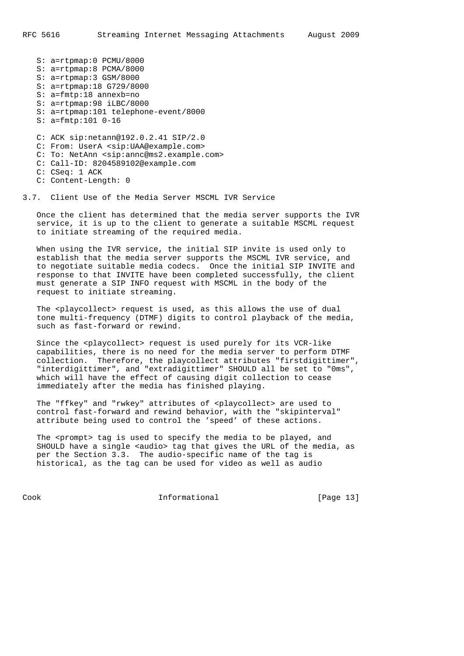S: a=rtpmap:0 PCMU/8000 S: a=rtpmap:8 PCMA/8000 S: a=rtpmap:3 GSM/8000 S: a=rtpmap:18 G729/8000 S: a=fmtp:18 annexb=no S: a=rtpmap:98 iLBC/8000 S: a=rtpmap:101 telephone-event/8000 S: a=fmtp:101 0-16 C: ACK sip:netann@192.0.2.41 SIP/2.0 C: From: UserA <sip:UAA@example.com> C: To: NetAnn <sip:annc@ms2.example.com> C: Call-ID: 8204589102@example.com

- C: CSeq: 1 ACK
- C: Content-Length: 0

3.7. Client Use of the Media Server MSCML IVR Service

 Once the client has determined that the media server supports the IVR service, it is up to the client to generate a suitable MSCML request to initiate streaming of the required media.

 When using the IVR service, the initial SIP invite is used only to establish that the media server supports the MSCML IVR service, and to negotiate suitable media codecs. Once the initial SIP INVITE and response to that INVITE have been completed successfully, the client must generate a SIP INFO request with MSCML in the body of the request to initiate streaming.

The <playcollect> request is used, as this allows the use of dual tone multi-frequency (DTMF) digits to control playback of the media, such as fast-forward or rewind.

Since the <playcollect> request is used purely for its VCR-like capabilities, there is no need for the media server to perform DTMF collection. Therefore, the playcollect attributes "firstdigittimer", "interdigittimer", and "extradigittimer" SHOULD all be set to "0ms", which will have the effect of causing digit collection to cease immediately after the media has finished playing.

The "ffkey" and "rwkey" attributes of <playcollect> are used to control fast-forward and rewind behavior, with the "skipinterval" attribute being used to control the 'speed' of these actions.

The <prompt> tag is used to specify the media to be played, and SHOULD have a single <audio> tag that gives the URL of the media, as per the Section 3.3. The audio-specific name of the tag is historical, as the tag can be used for video as well as audio

Cook Informational [Page 13]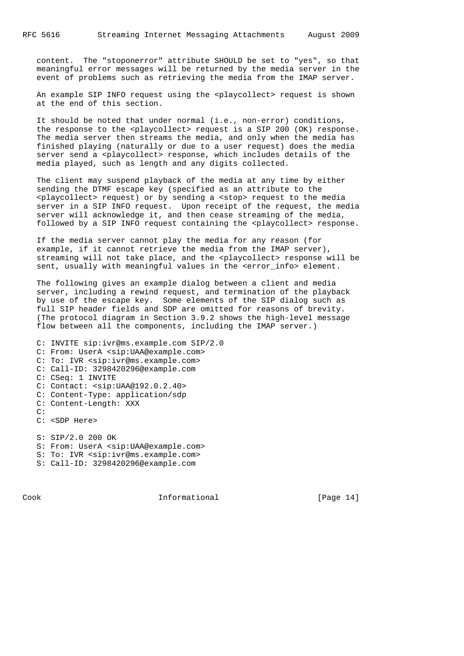content. The "stoponerror" attribute SHOULD be set to "yes", so that meaningful error messages will be returned by the media server in the event of problems such as retrieving the media from the IMAP server.

An example SIP INFO request using the <playcollect> request is shown at the end of this section.

 It should be noted that under normal (i.e., non-error) conditions, the response to the <playcollect> request is a SIP 200 (OK) response. The media server then streams the media, and only when the media has finished playing (naturally or due to a user request) does the media server send a <playcollect> response, which includes details of the media played, such as length and any digits collected.

 The client may suspend playback of the media at any time by either sending the DTMF escape key (specified as an attribute to the <playcollect> request) or by sending a <stop> request to the media server in a SIP INFO request. Upon receipt of the request, the media server will acknowledge it, and then cease streaming of the media, followed by a SIP INFO request containing the <playcollect> response.

 If the media server cannot play the media for any reason (for example, if it cannot retrieve the media from the IMAP server), streaming will not take place, and the <playcollect> response will be sent, usually with meaningful values in the <error\_info> element.

 The following gives an example dialog between a client and media server, including a rewind request, and termination of the playback by use of the escape key. Some elements of the SIP dialog such as full SIP header fields and SDP are omitted for reasons of brevity. (The protocol diagram in Section 3.9.2 shows the high-level message flow between all the components, including the IMAP server.)

 C: INVITE sip:ivr@ms.example.com SIP/2.0 C: From: UserA <sip:UAA@example.com> C: To: IVR <sip:ivr@ms.example.com> C: Call-ID: 3298420296@example.com C: CSeq: 1 INVITE C: Contact: <sip:UAA@192.0.2.40> C: Content-Type: application/sdp C: Content-Length: XXX C: C: <SDP Here> S: SIP/2.0 200 OK S: From: UserA <sip:UAA@example.com> S: To: IVR <sip:ivr@ms.example.com>

S: Call-ID: 3298420296@example.com

Cook Informational [Page 14]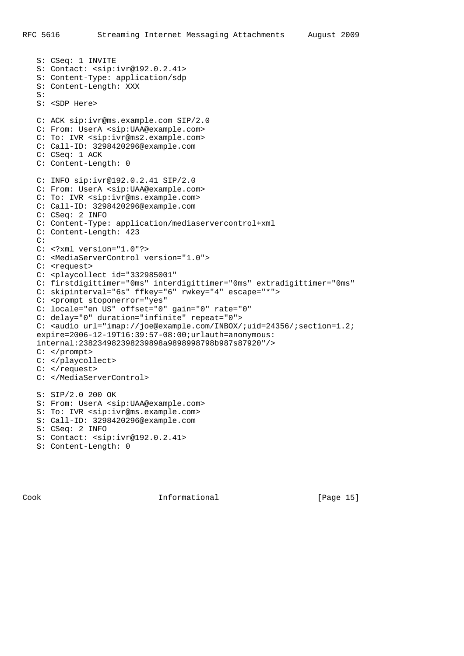```
 S: CSeq: 1 INVITE
 S: Contact: <sip:ivr@192.0.2.41>
 S: Content-Type: application/sdp
 S: Content-Length: XXX
 S:
 S: <SDP Here>
 C: ACK sip:ivr@ms.example.com SIP/2.0
 C: From: UserA <sip:UAA@example.com>
 C: To: IVR <sip:ivr@ms2.example.com>
 C: Call-ID: 3298420296@example.com
 C: CSeq: 1 ACK
 C: Content-Length: 0
 C: INFO sip:ivr@192.0.2.41 SIP/2.0
 C: From: UserA <sip:UAA@example.com>
 C: To: IVR <sip:ivr@ms.example.com>
 C: Call-ID: 3298420296@example.com
 C: CSeq: 2 INFO
 C: Content-Type: application/mediaservercontrol+xml
 C: Content-Length: 423
 C:
 C: <?xml version="1.0"?>
 C: <MediaServerControl version="1.0">
C: <request>
 C: <playcollect id="332985001"
 C: firstdigittimer="0ms" interdigittimer="0ms" extradigittimer="0ms"
 C: skipinterval="6s" ffkey="6" rwkey="4" escape="*">
C: < prompt stoponerror="yes"
 C: locale="en_US" offset="0" gain="0" rate="0"
 C: delay="0" duration="infinite" repeat="0">
 C: <audio url="imap://joe@example.com/INBOX/;uid=24356/;section=1.2;
 expire=2006-12-19T16:39:57-08:00;urlauth=anonymous:
 internal:238234982398239898a9898998798b987s87920"/>
 C: </prompt>
 C: </playcollect>
C: </request>
 C: </MediaServerControl>
 S: SIP/2.0 200 OK
 S: From: UserA <sip:UAA@example.com>
 S: To: IVR <sip:ivr@ms.example.com>
 S: Call-ID: 3298420296@example.com
 S: CSeq: 2 INFO
 S: Contact: <sip:ivr@192.0.2.41>
 S: Content-Length: 0
```
Cook Informational [Page 15]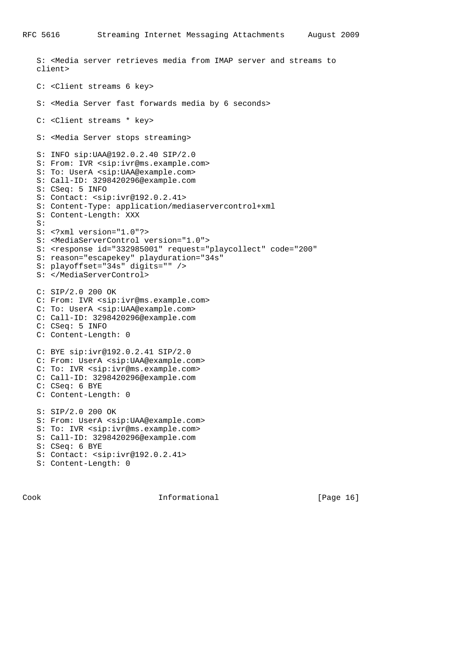```
 S: <Media server retrieves media from IMAP server and streams to
 client>
 C: <Client streams 6 key>
 S: <Media Server fast forwards media by 6 seconds>
 C: <Client streams * key>
 S: <Media Server stops streaming>
 S: INFO sip:UAA@192.0.2.40 SIP/2.0
 S: From: IVR <sip:ivr@ms.example.com>
 S: To: UserA <sip:UAA@example.com>
 S: Call-ID: 3298420296@example.com
 S: CSeq: 5 INFO
 S: Contact: <sip:ivr@192.0.2.41>
 S: Content-Type: application/mediaservercontrol+xml
 S: Content-Length: XXX
 S:
 S: <?xml version="1.0"?>
 S: <MediaServerControl version="1.0">
 S: <response id="332985001" request="playcollect" code="200"
 S: reason="escapekey" playduration="34s"
 S: playoffset="34s" digits="" />
 S: </MediaServerControl>
 C: SIP/2.0 200 OK
 C: From: IVR <sip:ivr@ms.example.com>
 C: To: UserA <sip:UAA@example.com>
 C: Call-ID: 3298420296@example.com
 C: CSeq: 5 INFO
 C: Content-Length: 0
 C: BYE sip:ivr@192.0.2.41 SIP/2.0
 C: From: UserA <sip:UAA@example.com>
 C: To: IVR <sip:ivr@ms.example.com>
 C: Call-ID: 3298420296@example.com
 C: CSeq: 6 BYE
 C: Content-Length: 0
 S: SIP/2.0 200 OK
 S: From: UserA <sip:UAA@example.com>
 S: To: IVR <sip:ivr@ms.example.com>
 S: Call-ID: 3298420296@example.com
 S: CSeq: 6 BYE
 S: Contact: <sip:ivr@192.0.2.41>
 S: Content-Length: 0
```
Cook Informational [Page 16]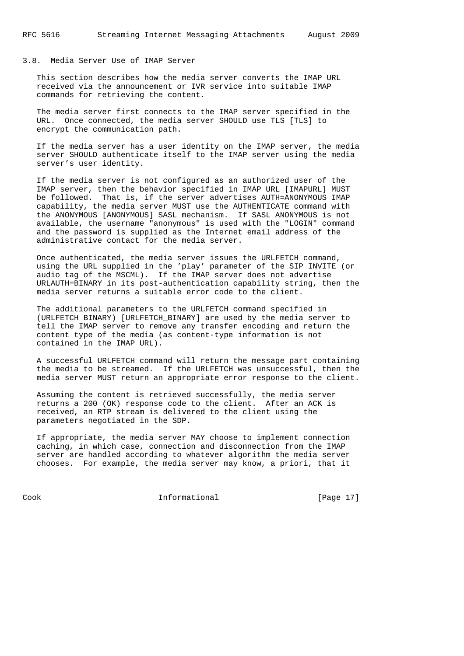### 3.8. Media Server Use of IMAP Server

 This section describes how the media server converts the IMAP URL received via the announcement or IVR service into suitable IMAP commands for retrieving the content.

 The media server first connects to the IMAP server specified in the URL. Once connected, the media server SHOULD use TLS [TLS] to encrypt the communication path.

 If the media server has a user identity on the IMAP server, the media server SHOULD authenticate itself to the IMAP server using the media server's user identity.

 If the media server is not configured as an authorized user of the IMAP server, then the behavior specified in IMAP URL [IMAPURL] MUST be followed. That is, if the server advertises AUTH=ANONYMOUS IMAP capability, the media server MUST use the AUTHENTICATE command with the ANONYMOUS [ANONYMOUS] SASL mechanism. If SASL ANONYMOUS is not available, the username "anonymous" is used with the "LOGIN" command and the password is supplied as the Internet email address of the administrative contact for the media server.

 Once authenticated, the media server issues the URLFETCH command, using the URL supplied in the 'play' parameter of the SIP INVITE (or audio tag of the MSCML). If the IMAP server does not advertise URLAUTH=BINARY in its post-authentication capability string, then the media server returns a suitable error code to the client.

 The additional parameters to the URLFETCH command specified in (URLFETCH BINARY) [URLFETCH\_BINARY] are used by the media server to tell the IMAP server to remove any transfer encoding and return the content type of the media (as content-type information is not contained in the IMAP URL).

 A successful URLFETCH command will return the message part containing the media to be streamed. If the URLFETCH was unsuccessful, then the media server MUST return an appropriate error response to the client.

 Assuming the content is retrieved successfully, the media server returns a 200 (OK) response code to the client. After an ACK is received, an RTP stream is delivered to the client using the parameters negotiated in the SDP.

 If appropriate, the media server MAY choose to implement connection caching, in which case, connection and disconnection from the IMAP server are handled according to whatever algorithm the media server chooses. For example, the media server may know, a priori, that it

Cook Informational [Page 17]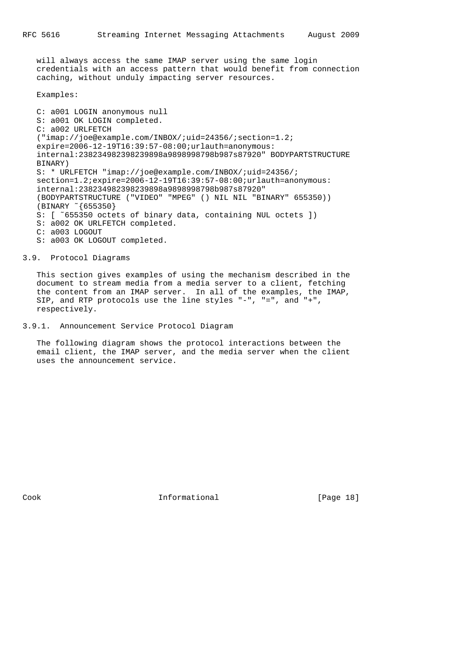will always access the same IMAP server using the same login credentials with an access pattern that would benefit from connection caching, without unduly impacting server resources.

Examples:

 C: a001 LOGIN anonymous null S: a001 OK LOGIN completed. C: a002 URLFETCH ("imap://joe@example.com/INBOX/;uid=24356/;section=1.2; expire=2006-12-19T16:39:57-08:00;urlauth=anonymous: internal:238234982398239898a9898998798b987s87920" BODYPARTSTRUCTURE BINARY) S: \* URLFETCH "imap://joe@example.com/INBOX/;uid=24356/; section=1.2;expire=2006-12-19T16:39:57-08:00;urlauth=anonymous: internal:238234982398239898a9898998798b987s87920" (BODYPARTSTRUCTURE ("VIDEO" "MPEG" () NIL NIL "BINARY" 655350)) (BINARY ˜{655350} S: [ ˜655350 octets of binary data, containing NUL octets ]) S: a002 OK URLFETCH completed. C: a003 LOGOUT S: a003 OK LOGOUT completed.

3.9. Protocol Diagrams

 This section gives examples of using the mechanism described in the document to stream media from a media server to a client, fetching the content from an IMAP server. In all of the examples, the IMAP, SIP, and RTP protocols use the line styles "-", "=", and "+", respectively.

3.9.1. Announcement Service Protocol Diagram

 The following diagram shows the protocol interactions between the email client, the IMAP server, and the media server when the client uses the announcement service.

Cook Informational [Page 18]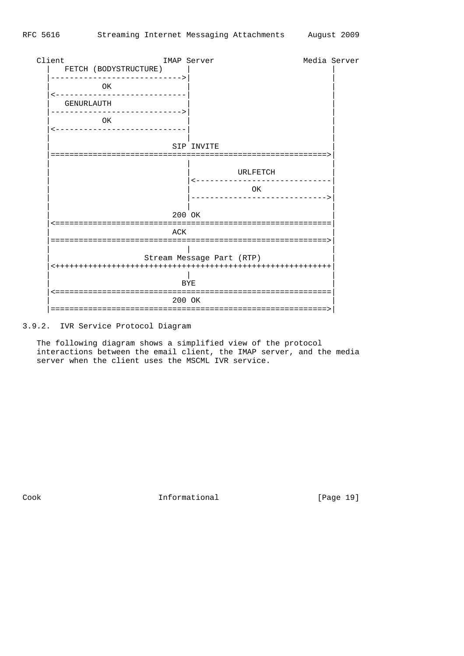

3.9.2. IVR Service Protocol Diagram

 The following diagram shows a simplified view of the protocol interactions between the email client, the IMAP server, and the media server when the client uses the MSCML IVR service.

Cook 1nformational [Page 19]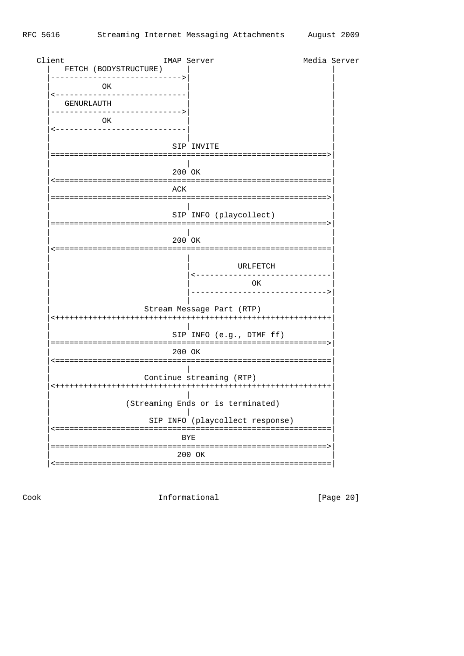| Client<br>FETCH (BODYSTRUCTURE) | IMAP Server |            |                                   | Media Server |
|---------------------------------|-------------|------------|-----------------------------------|--------------|
| OK                              |             |            |                                   |              |
| GENURLAUTH                      |             |            |                                   |              |
| OK                              |             |            |                                   |              |
|                                 |             |            |                                   |              |
|                                 |             | SIP INVITE |                                   |              |
|                                 | 200 OK      |            |                                   |              |
|                                 | ACK         |            |                                   |              |
| :=====================          |             |            | :================================ |              |
|                                 |             |            | SIP INFO (playcollect)            |              |
|                                 | 200 OK      |            |                                   |              |
|                                 |             |            |                                   |              |
|                                 |             |            | URLFETCH                          |              |
|                                 |             |            | OK                                |              |
|                                 |             |            | Stream Message Part (RTP)         |              |
|                                 |             |            | SIP INFO (e.g., DTMF ff)          |              |
|                                 | 200 OK      |            |                                   |              |
|                                 |             |            | Continue streaming (RTP)          |              |
|                                 |             |            | (Streaming Ends or is terminated) |              |
|                                 |             |            | SIP INFO (playcollect response)   |              |
|                                 |             | BYE        |                                   |              |
|                                 |             | 200 OK     |                                   |              |
|                                 |             |            |                                   |              |

[Page 20]

Informational

 $\mathop{\rm Cook}\nolimits$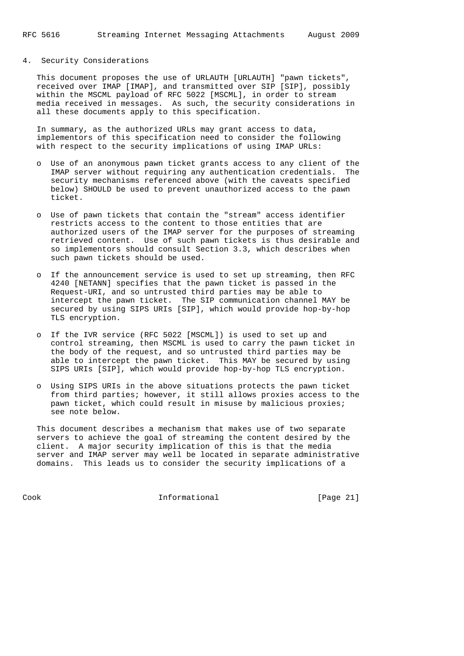# 4. Security Considerations

 This document proposes the use of URLAUTH [URLAUTH] "pawn tickets", received over IMAP [IMAP], and transmitted over SIP [SIP], possibly within the MSCML payload of RFC 5022 [MSCML], in order to stream media received in messages. As such, the security considerations in all these documents apply to this specification.

 In summary, as the authorized URLs may grant access to data, implementors of this specification need to consider the following with respect to the security implications of using IMAP URLs:

- o Use of an anonymous pawn ticket grants access to any client of the IMAP server without requiring any authentication credentials. The security mechanisms referenced above (with the caveats specified below) SHOULD be used to prevent unauthorized access to the pawn ticket.
- o Use of pawn tickets that contain the "stream" access identifier restricts access to the content to those entities that are authorized users of the IMAP server for the purposes of streaming retrieved content. Use of such pawn tickets is thus desirable and so implementors should consult Section 3.3, which describes when such pawn tickets should be used.
- o If the announcement service is used to set up streaming, then RFC 4240 [NETANN] specifies that the pawn ticket is passed in the Request-URI, and so untrusted third parties may be able to intercept the pawn ticket. The SIP communication channel MAY be secured by using SIPS URIs [SIP], which would provide hop-by-hop TLS encryption.
- o If the IVR service (RFC 5022 [MSCML]) is used to set up and control streaming, then MSCML is used to carry the pawn ticket in the body of the request, and so untrusted third parties may be able to intercept the pawn ticket. This MAY be secured by using SIPS URIs [SIP], which would provide hop-by-hop TLS encryption.
- o Using SIPS URIs in the above situations protects the pawn ticket from third parties; however, it still allows proxies access to the pawn ticket, which could result in misuse by malicious proxies; see note below.

 This document describes a mechanism that makes use of two separate servers to achieve the goal of streaming the content desired by the client. A major security implication of this is that the media server and IMAP server may well be located in separate administrative domains. This leads us to consider the security implications of a

Cook Informational [Page 21]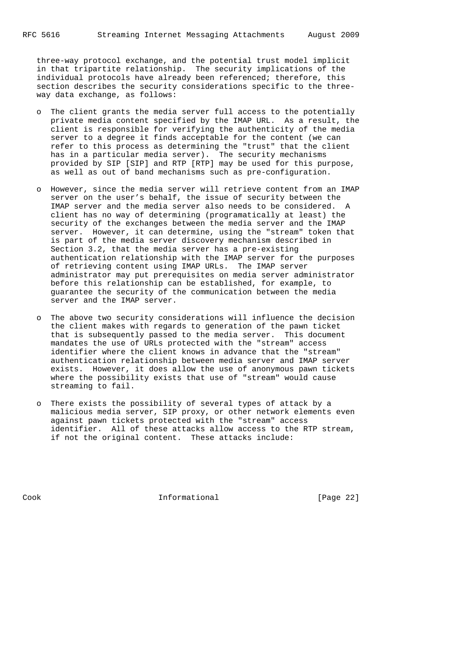three-way protocol exchange, and the potential trust model implicit in that tripartite relationship. The security implications of the individual protocols have already been referenced; therefore, this section describes the security considerations specific to the three way data exchange, as follows:

- o The client grants the media server full access to the potentially private media content specified by the IMAP URL. As a result, the client is responsible for verifying the authenticity of the media server to a degree it finds acceptable for the content (we can refer to this process as determining the "trust" that the client has in a particular media server). The security mechanisms provided by SIP [SIP] and RTP [RTP] may be used for this purpose, as well as out of band mechanisms such as pre-configuration.
- o However, since the media server will retrieve content from an IMAP server on the user's behalf, the issue of security between the IMAP server and the media server also needs to be considered. A client has no way of determining (programatically at least) the security of the exchanges between the media server and the IMAP server. However, it can determine, using the "stream" token that is part of the media server discovery mechanism described in Section 3.2, that the media server has a pre-existing authentication relationship with the IMAP server for the purposes of retrieving content using IMAP URLs. The IMAP server administrator may put prerequisites on media server administrator before this relationship can be established, for example, to guarantee the security of the communication between the media server and the IMAP server.
- o The above two security considerations will influence the decision the client makes with regards to generation of the pawn ticket that is subsequently passed to the media server. This document mandates the use of URLs protected with the "stream" access identifier where the client knows in advance that the "stream" authentication relationship between media server and IMAP server exists. However, it does allow the use of anonymous pawn tickets where the possibility exists that use of "stream" would cause streaming to fail.
- o There exists the possibility of several types of attack by a malicious media server, SIP proxy, or other network elements even against pawn tickets protected with the "stream" access identifier. All of these attacks allow access to the RTP stream, if not the original content. These attacks include:

Cook Informational [Page 22]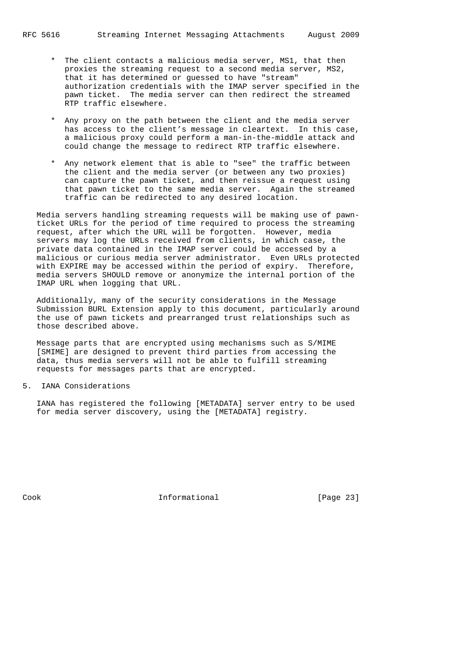- \* The client contacts a malicious media server, MS1, that then proxies the streaming request to a second media server, MS2, that it has determined or guessed to have "stream" authorization credentials with the IMAP server specified in the pawn ticket. The media server can then redirect the streamed RTP traffic elsewhere.
- Any proxy on the path between the client and the media server has access to the client's message in cleartext. In this case, a malicious proxy could perform a man-in-the-middle attack and could change the message to redirect RTP traffic elsewhere.
- \* Any network element that is able to "see" the traffic between the client and the media server (or between any two proxies) can capture the pawn ticket, and then reissue a request using that pawn ticket to the same media server. Again the streamed traffic can be redirected to any desired location.

 Media servers handling streaming requests will be making use of pawn ticket URLs for the period of time required to process the streaming request, after which the URL will be forgotten. However, media servers may log the URLs received from clients, in which case, the private data contained in the IMAP server could be accessed by a malicious or curious media server administrator. Even URLs protected with EXPIRE may be accessed within the period of expiry. Therefore, media servers SHOULD remove or anonymize the internal portion of the IMAP URL when logging that URL.

 Additionally, many of the security considerations in the Message Submission BURL Extension apply to this document, particularly around the use of pawn tickets and prearranged trust relationships such as those described above.

 Message parts that are encrypted using mechanisms such as S/MIME [SMIME] are designed to prevent third parties from accessing the data, thus media servers will not be able to fulfill streaming requests for messages parts that are encrypted.

# 5. IANA Considerations

 IANA has registered the following [METADATA] server entry to be used for media server discovery, using the [METADATA] registry.

Cook Informational [Page 23]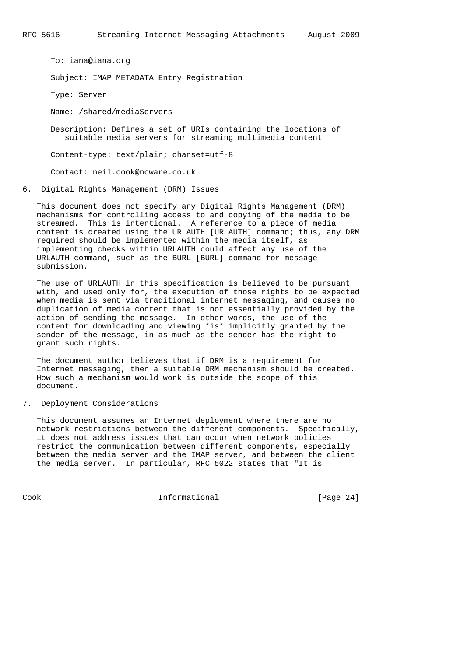To: iana@iana.org Subject: IMAP METADATA Entry Registration Type: Server Name: /shared/mediaServers Description: Defines a set of URIs containing the locations of suitable media servers for streaming multimedia content Content-type: text/plain; charset=utf-8 Contact: neil.cook@noware.co.uk

6. Digital Rights Management (DRM) Issues

 This document does not specify any Digital Rights Management (DRM) mechanisms for controlling access to and copying of the media to be streamed. This is intentional. A reference to a piece of media content is created using the URLAUTH [URLAUTH] command; thus, any DRM required should be implemented within the media itself, as implementing checks within URLAUTH could affect any use of the URLAUTH command, such as the BURL [BURL] command for message submission.

 The use of URLAUTH in this specification is believed to be pursuant with, and used only for, the execution of those rights to be expected when media is sent via traditional internet messaging, and causes no duplication of media content that is not essentially provided by the action of sending the message. In other words, the use of the content for downloading and viewing \*is\* implicitly granted by the sender of the message, in as much as the sender has the right to grant such rights.

 The document author believes that if DRM is a requirement for Internet messaging, then a suitable DRM mechanism should be created. How such a mechanism would work is outside the scope of this document.

# 7. Deployment Considerations

 This document assumes an Internet deployment where there are no network restrictions between the different components. Specifically, it does not address issues that can occur when network policies restrict the communication between different components, especially between the media server and the IMAP server, and between the client the media server. In particular, RFC 5022 states that "It is

Cook Informational [Page 24]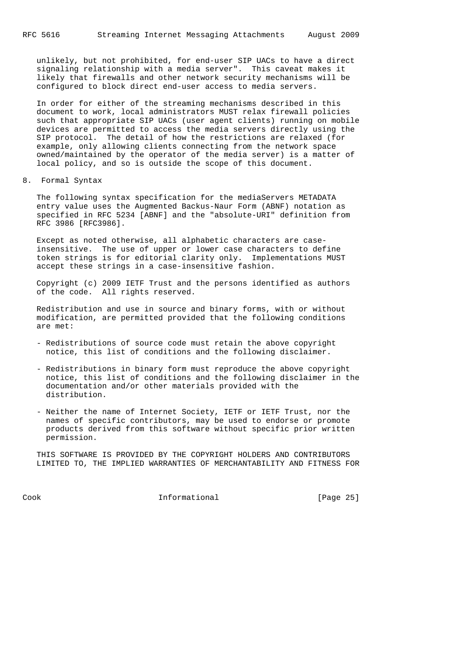unlikely, but not prohibited, for end-user SIP UACs to have a direct signaling relationship with a media server". This caveat makes it likely that firewalls and other network security mechanisms will be configured to block direct end-user access to media servers.

 In order for either of the streaming mechanisms described in this document to work, local administrators MUST relax firewall policies such that appropriate SIP UACs (user agent clients) running on mobile devices are permitted to access the media servers directly using the SIP protocol. The detail of how the restrictions are relaxed (for example, only allowing clients connecting from the network space owned/maintained by the operator of the media server) is a matter of local policy, and so is outside the scope of this document.

8. Formal Syntax

 The following syntax specification for the mediaServers METADATA entry value uses the Augmented Backus-Naur Form (ABNF) notation as specified in RFC 5234 [ABNF] and the "absolute-URI" definition from RFC 3986 [RFC3986].

 Except as noted otherwise, all alphabetic characters are case insensitive. The use of upper or lower case characters to define token strings is for editorial clarity only. Implementations MUST accept these strings in a case-insensitive fashion.

 Copyright (c) 2009 IETF Trust and the persons identified as authors of the code. All rights reserved.

 Redistribution and use in source and binary forms, with or without modification, are permitted provided that the following conditions are met:

- Redistributions of source code must retain the above copyright notice, this list of conditions and the following disclaimer.
- Redistributions in binary form must reproduce the above copyright notice, this list of conditions and the following disclaimer in the documentation and/or other materials provided with the distribution.
- Neither the name of Internet Society, IETF or IETF Trust, nor the names of specific contributors, may be used to endorse or promote products derived from this software without specific prior written permission.

 THIS SOFTWARE IS PROVIDED BY THE COPYRIGHT HOLDERS AND CONTRIBUTORS LIMITED TO, THE IMPLIED WARRANTIES OF MERCHANTABILITY AND FITNESS FOR

Cook Informational [Page 25]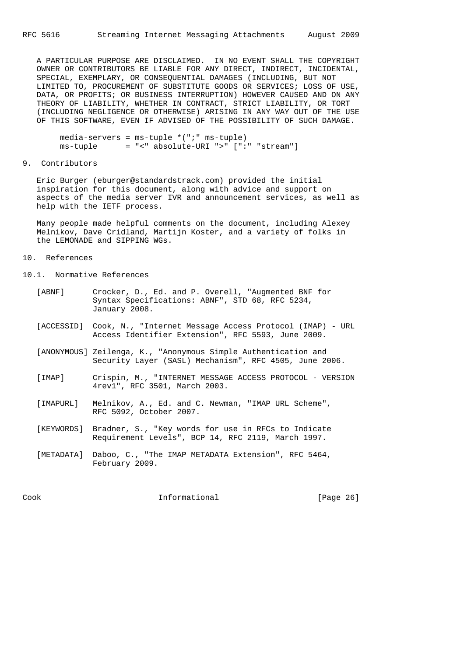A PARTICULAR PURPOSE ARE DISCLAIMED. IN NO EVENT SHALL THE COPYRIGHT OWNER OR CONTRIBUTORS BE LIABLE FOR ANY DIRECT, INDIRECT, INCIDENTAL, SPECIAL, EXEMPLARY, OR CONSEQUENTIAL DAMAGES (INCLUDING, BUT NOT LIMITED TO, PROCUREMENT OF SUBSTITUTE GOODS OR SERVICES; LOSS OF USE, DATA, OR PROFITS; OR BUSINESS INTERRUPTION) HOWEVER CAUSED AND ON ANY THEORY OF LIABILITY, WHETHER IN CONTRACT, STRICT LIABILITY, OR TORT (INCLUDING NEGLIGENCE OR OTHERWISE) ARISING IN ANY WAY OUT OF THE USE OF THIS SOFTWARE, EVEN IF ADVISED OF THE POSSIBILITY OF SUCH DAMAGE.

 $media-servers = ms-tuple * (";" ms-tuple)$ ms-tuple = "<" absolute-URI ">" [":" "stream"]

# 9. Contributors

 Eric Burger (eburger@standardstrack.com) provided the initial inspiration for this document, along with advice and support on aspects of the media server IVR and announcement services, as well as help with the IETF process.

 Many people made helpful comments on the document, including Alexey Melnikov, Dave Cridland, Martijn Koster, and a variety of folks in the LEMONADE and SIPPING WGs.

# 10. References

10.1. Normative References

| [ABNF]    | Crocker, D., Ed. and P. Overell, "Augmented BNF for<br>Syntax Specifications: ABNF", STD 68, RFC 5234,<br>January 2008.  |
|-----------|--------------------------------------------------------------------------------------------------------------------------|
|           | Access Identifier Extension", RFC 5593, June 2009.                                                                       |
|           | [ANONYMOUS] Zeilenga, K., "Anonymous Simple Authentication and<br>Security Layer (SASL) Mechanism", RFC 4505, June 2006. |
| [IMAP]    | Crispin, M., "INTERNET MESSAGE ACCESS PROTOCOL - VERSION<br>4rev1", RFC 3501, March 2003.                                |
| [IMAPURL] | Melnikov, A., Ed. and C. Newman, "IMAP URL Scheme",<br>RFC 5092, October 2007.                                           |
|           | [KEYWORDS] Bradner, S., "Key words for use in RFCs to Indicate<br>Requirement Levels", BCP 14, RFC 2119, March 1997.     |
|           | [METADATA] Daboo, C., "The IMAP METADATA Extension", RFC 5464,<br>February 2009.                                         |
|           |                                                                                                                          |

Cook Informational [Page 26]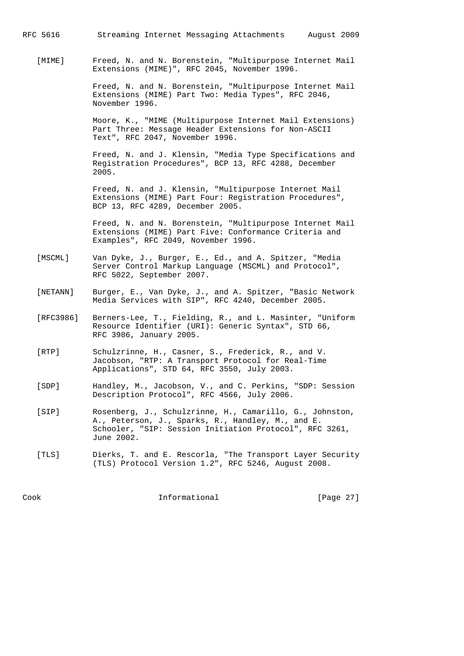RFC 5616 Streaming Internet Messaging Attachments August 2009

 [MIME] Freed, N. and N. Borenstein, "Multipurpose Internet Mail Extensions (MIME)", RFC 2045, November 1996.

> Freed, N. and N. Borenstein, "Multipurpose Internet Mail Extensions (MIME) Part Two: Media Types", RFC 2046, November 1996.

> Moore, K., "MIME (Multipurpose Internet Mail Extensions) Part Three: Message Header Extensions for Non-ASCII Text", RFC 2047, November 1996.

> Freed, N. and J. Klensin, "Media Type Specifications and Registration Procedures", BCP 13, RFC 4288, December 2005.

 Freed, N. and J. Klensin, "Multipurpose Internet Mail Extensions (MIME) Part Four: Registration Procedures", BCP 13, RFC 4289, December 2005.

 Freed, N. and N. Borenstein, "Multipurpose Internet Mail Extensions (MIME) Part Five: Conformance Criteria and Examples", RFC 2049, November 1996.

- [MSCML] Van Dyke, J., Burger, E., Ed., and A. Spitzer, "Media Server Control Markup Language (MSCML) and Protocol", RFC 5022, September 2007.
- [NETANN] Burger, E., Van Dyke, J., and A. Spitzer, "Basic Network Media Services with SIP", RFC 4240, December 2005.
- [RFC3986] Berners-Lee, T., Fielding, R., and L. Masinter, "Uniform Resource Identifier (URI): Generic Syntax", STD 66, RFC 3986, January 2005.
- [RTP] Schulzrinne, H., Casner, S., Frederick, R., and V. Jacobson, "RTP: A Transport Protocol for Real-Time Applications", STD 64, RFC 3550, July 2003.
- [SDP] Handley, M., Jacobson, V., and C. Perkins, "SDP: Session Description Protocol", RFC 4566, July 2006.
- [SIP] Rosenberg, J., Schulzrinne, H., Camarillo, G., Johnston, A., Peterson, J., Sparks, R., Handley, M., and E. Schooler, "SIP: Session Initiation Protocol", RFC 3261, June 2002.
- [TLS] Dierks, T. and E. Rescorla, "The Transport Layer Security (TLS) Protocol Version 1.2", RFC 5246, August 2008.

Cook Informational [Page 27]